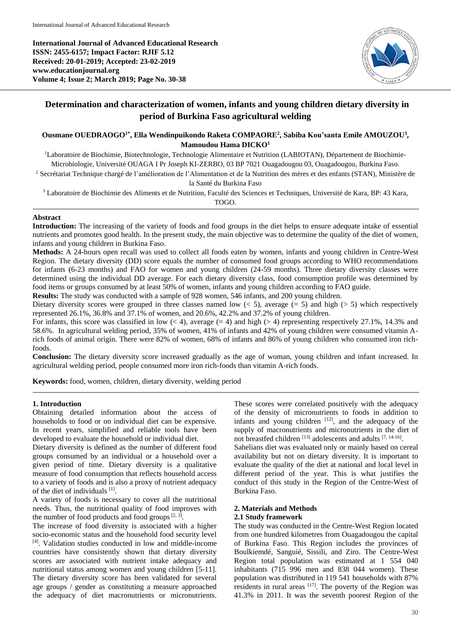**International Journal of Advanced Educational Research ISSN: 2455-6157; Impact Factor: RJIF 5.12 Received: 20-01-2019; Accepted: 23-02-2019 www.educationjournal.org Volume 4; Issue 2; March 2019; Page No. 30-38**



# **Determination and characterization of women, infants and young children dietary diversity in period of Burkina Faso agricultural welding**

**Ousmane OUEDRAOGO1\*, Ella Wendinpuikondo Raketa COMPAORE<sup>2</sup> , Sabiba Kou'santa Emile AMOUZOU<sup>3</sup> , Mamoudou Hama DICKO<sup>1</sup>**

<sup>1</sup>Laboratoire de Biochimie, Biotechnologie, Technologie Alimentaire et Nutrition (LABIOTAN), Département de Biochimie-Microbiologie, Université OUAGA I Pr Joseph KI-ZERBO, 03 BP 7021 Ouagadougou 03, Ouagadougou, Burkina Faso.

<sup>2</sup> Secrétariat Technique chargé de l'amélioration de l'Alimentation et de la Nutrition des mères et des enfants (STAN), Ministère de la Santé du Burkina Faso

<sup>3</sup> Laboratoire de Biochimie des Aliments et de Nutrition, Faculté des Sciences et Techniques, Université de Kara, BP: 43 Kara,

TOGO.

# **Abstract**

**Introduction:** The increasing of the variety of foods and food groups in the diet helps to ensure adequate intake of essential nutrients and promotes good health. In the present study, the main objective was to determine the quality of the diet of women, infants and young children in Burkina Faso.

**Methods:** A 24-hours open recall was used to collect all foods eaten by women, infants and young children in Centre-West Region. The dietary diversity (DD) score equals the number of consumed food groups according to WHO recommendations for infants (6-23 months) and FAO for women and young children (24-59 months). Three dietary diversity classes were determined using the individual DD average. For each dietary diversity class, food consumption profile was determined by food items or groups consumed by at least 50% of women, infants and young children according to FAO guide.

**Results:** The study was conducted with a sample of 928 women, 546 infants, and 200 young children.

Dietary diversity scores were grouped in three classes named low  $(< 5$ ), average  $(= 5)$  and high  $(> 5)$  which respectively represented 26.1%, 36.8% and 37.1% of women, and 20.6%, 42.2% and 37.2% of young children.

For infants, this score was classified in low  $(< 4)$ , average  $(= 4)$  and high  $(> 4)$  representing respectively 27.1%, 14.3% and 58.6%. In agricultural welding period, 35% of women, 41% of infants and 42% of young children were consumed vitamin Arich foods of animal origin. There were 82% of women, 68% of infants and 86% of young children who consumed iron richfoods.

**Conclusion:** The dietary diversity score increased gradually as the age of woman, young children and infant increased. In agricultural welding period, people consumed more iron rich-foods than vitamin A-rich foods.

**Keywords:** food, women, children, dietary diversity, welding period

# **1. Introduction**

Obtaining detailed information about the access of households to food or on individual diet can be expensive. In recent years, simplified and reliable tools have been developed to evaluate the household or individual diet.

Dietary diversity is defined as the number of different food groups consumed by an individual or a household over a given period of time. Dietary diversity is a qualitative measure of food consumption that reflects household access to a variety of foods and is also a proxy of nutrient adequacy of the diet of individuals [1] .

A variety of foods is necessary to cover all the nutritional needs. Thus, the nutritional quality of food improves with the number of food products and food groups  $[2, 3]$ .

The increase of food diversity is associated with a higher socio-economic status and the household food security level [4]. Validation studies conducted in low and middle-income countries have consistently shown that dietary diversity scores are associated with nutrient intake adequacy and nutritional status among women and young children [5-11]. The dietary diversity score has been validated for several age groups / gender as constituting a measure approached the adequacy of diet macronutrients or micronutrients.

These scores were correlated positively with the adequacy of the density of micronutrients to foods in addition to infants and young children  $[12]$ , and the adequacy of the supply of macronutrients and micronutrients in the diet of not breastfed children [13] adolescents and adults [7, 14-16].

Sahelians diet was evaluated only or mainly based on cereal availability but not on dietary diversity. It is important to evaluate the quality of the diet at national and local level in different period of the year. This is what justifies the conduct of this study in the Region of the Centre-West of Burkina Faso.

# **2. Materials and Methods**

### **2.1 Study framework**

The study was conducted in the Centre-West Region located from one hundred kilometres from Ouagadougou the capital of Burkina Faso. This Region includes the provinces of Boulkiemdé, Sanguié, Sissili, and Ziro. The Centre-West Region total population was estimated at 1 554 040 inhabitants (715 996 men and 838 044 women). These population was distributed in 119 541 households with 87% residents in rural areas  $[17]$ . The poverty of the Region was 41.3% in 2011. It was the seventh poorest Region of the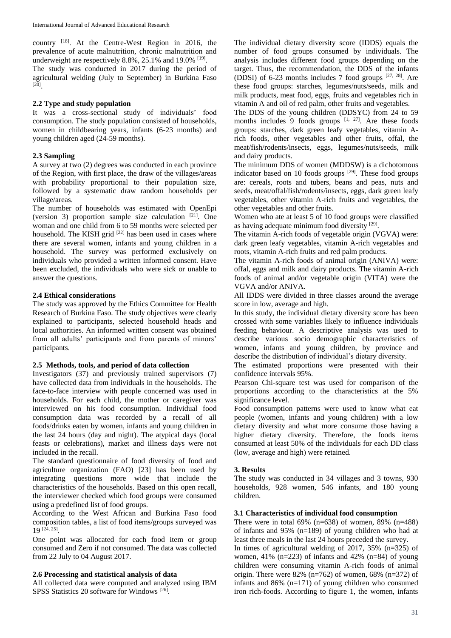country [18]. At the Centre-West Region in 2016, the prevalence of acute malnutrition, chronic malnutrition and underweight are respectively 8.8%, 25.1% and 19.0% <sup>[19]</sup>.

The study was conducted in 2017 during the period of agricultural welding (July to September) in Burkina Faso [20] .

# **2.2 Type and study population**

It was a cross-sectional study of individuals' food consumption. The study population consisted of households, women in childbearing years, infants (6-23 months) and young children aged (24-59 months).

# **2.3 Sampling**

A survey at two (2) degrees was conducted in each province of the Region, with first place, the draw of the villages/areas with probability proportional to their population size, followed by a systematic draw random households per village/areas.

The number of households was estimated with OpenEpi (version 3) proportion sample size calculation  $[21]$ . One woman and one child from 6 to 59 months were selected per household. The KISH grid <sup>[22]</sup> has been used in cases where there are several women, infants and young children in a household. The survey was performed exclusively on individuals who provided a written informed consent. Have been excluded, the individuals who were sick or unable to answer the questions.

### **2.4 Ethical considerations**

The study was approved by the Ethics Committee for Health Research of Burkina Faso. The study objectives were clearly explained to participants, selected household heads and local authorities. An informed written consent was obtained from all adults' participants and from parents of minors' participants.

### **2.5 Methods, tools, and period of data collection**

Investigators (37) and previously trained supervisors (7) have collected data from individuals in the households. The face-to-face interview with people concerned was used in households. For each child, the mother or caregiver was interviewed on his food consumption. Individual food consumption data was recorded by a recall of all foods/drinks eaten by women, infants and young children in the last 24 hours (day and night). The atypical days (local feasts or celebrations), market and illness days were not included in the recall.

The standard questionnaire of food diversity of food and agriculture organization (FAO) [23] has been used by integrating questions more wide that include the characteristics of the households. Based on this open recall, the interviewer checked which food groups were consumed using a predefined list of food groups.

According to the West African and Burkina Faso food composition tables, a list of food items/groups surveyed was 19 [24, 25] .

One point was allocated for each food item or group consumed and Zero if not consumed. The data was collected from 22 July to 04 August 2017.

### **2.6 Processing and statistical analysis of data**

All collected data were computed and analyzed using IBM SPSS Statistics 20 software for Windows<sup>[26]</sup>.

The individual dietary diversity score (IDDS) equals the number of food groups consumed by individuals. The analysis includes different food groups depending on the target. Thus, the recommendation, the DDS of the infants (DDSI) of 6-23 months includes 7 food groups  $[27, 28]$ . Are these food groups: starches, legumes/nuts/seeds, milk and milk products, meat food, eggs, fruits and vegetables rich in vitamin A and oil of red palm, other fruits and vegetables.

The DDS of the young children (DDSYC) from 24 to 59 months includes  $9$  foods groups  $[1, 27]$ . Are these foods groups: starches, dark green leafy vegetables, vitamin Arich foods, other vegetables and other fruits, offal, the meat/fish/rodents/insects, eggs, legumes/nuts/seeds, milk and dairy products.

The minimum DDS of women (MDDSW) is a dichotomous indicator based on 10 foods groups  $[29]$ . These food groups are: cereals, roots and tubers, beans and peas, nuts and seeds, meat/offal/fish/rodents/insects, eggs, dark green leafy vegetables, other vitamin A-rich fruits and vegetables, the other vegetables and other fruits.

Women who ate at least 5 of 10 food groups were classified as having adequate minimum food diversity [29].

The vitamin A-rich foods of vegetable origin (VGVA) were: dark green leafy vegetables, vitamin A-rich vegetables and roots, vitamin A-rich fruits and red palm products.

The vitamin A-rich foods of animal origin (ANIVA) were: offal, eggs and milk and dairy products. The vitamin A-rich foods of animal and/or vegetable origin (VITA) were the VGVA and/or ANIVA.

All IDDS were divided in three classes around the average score in low, average and high.

In this study, the individual dietary diversity score has been crossed with some variables likely to influence individuals feeding behaviour. A descriptive analysis was used to describe various socio demographic characteristics of women, infants and young children, by province and describe the distribution of individual's dietary diversity.

The estimated proportions were presented with their confidence intervals 95%.

Pearson Chi-square test was used for comparison of the proportions according to the characteristics at the 5% significance level.

Food consumption patterns were used to know what eat people (women, infants and young children) with a low dietary diversity and what more consume those having a higher dietary diversity. Therefore, the foods items consumed at least 50% of the individuals for each DD class (low, average and high) were retained.

# **3. Results**

The study was conducted in 34 villages and 3 towns, 930 households, 928 women, 546 infants, and 180 young children.

# **3.1 Characteristics of individual food consumption**

There were in total 69% (n=638) of women,  $89\%$  (n=488) of infants and 95% (n=189) of young children who had at least three meals in the last 24 hours preceded the survey. In times of agricultural welding of 2017, 35% (n=325) of women, 41% (n=223) of infants and 42% (n=84) of young children were consuming vitamin A-rich foods of animal origin. There were  $82\%$  (n=762) of women, 68% (n=372) of infants and 86% (n=171) of young children who consumed iron rich-foods. According to figure 1, the women, infants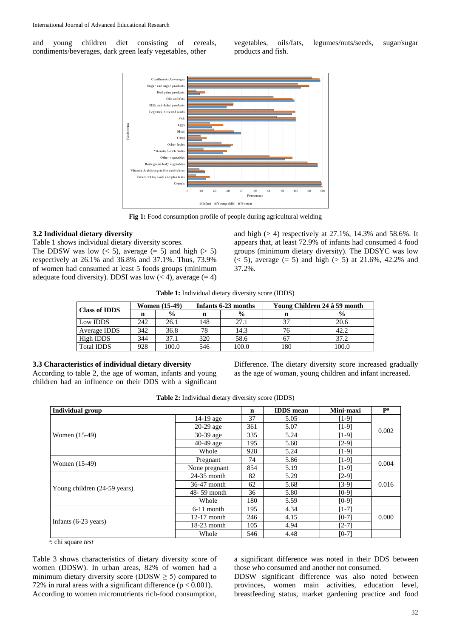and young children diet consisting of cereals, condiments/beverages, dark green leafy vegetables, other

vegetables, oils/fats, legumes/nuts/seeds, sugar/sugar products and fish.



**Fig 1:** Food consumption profile of people during agricultural welding

#### **3.2 Individual dietary diversity**

Table 1 shows individual dietary diversity scores.

The DDSW was low  $(< 5)$ , average  $(= 5)$  and high  $(> 5)$ respectively at 26.1% and 36.8% and 37.1%. Thus, 73.9% of women had consumed at least 5 foods groups (minimum adequate food diversity). DDSI was low  $(< 4)$ , average  $(= 4)$  and high  $(> 4)$  respectively at 27.1%, 14.3% and 58.6%. It appears that, at least 72.9% of infants had consumed 4 food groups (minimum dietary diversity). The DDSYC was low  $(< 5)$ , average  $(= 5)$  and high  $(> 5)$  at 21.6%, 42.2% and 37.2%.

**Table 1:** Individual dietary diversity score (IDDS)

| <b>Class of IDDS</b> |     | <b>Women</b> (15-49) |     | Infants 6-23 months | Young Children 24 à 59 month |               |  |  |
|----------------------|-----|----------------------|-----|---------------------|------------------------------|---------------|--|--|
|                      |     | $\frac{6}{9}$        | n   | $\frac{6}{9}$       | n                            | $\frac{0}{0}$ |  |  |
| Low IDDS             | 242 | 26.1                 | 148 | 27.1                | 37                           | 20.6          |  |  |
| Average IDDS         | 342 | 36.8                 | 78  | 14.3                |                              | 42.2          |  |  |
| High IDDS            | 344 | 37.1                 | 320 | 58.6                | -67                          | 37.2          |  |  |
| <b>Total IDDS</b>    | 928 | 100.0                | 546 | 100.0               | 180                          | 100.0         |  |  |

# **3.3 Characteristics of individual dietary diversity**

According to table 2, the age of woman, infants and young children had an influence on their DDS with a significant Difference. The dietary diversity score increased gradually as the age of woman, young children and infant increased.

|  | Table 2: Individual dietary diversity score (IDDS) |  |  |  |  |
|--|----------------------------------------------------|--|--|--|--|
|--|----------------------------------------------------|--|--|--|--|

| <b>Individual group</b>        |               | $\mathbf n$ | <b>IDDS</b> mean | Mini-maxi | Pa    |  |
|--------------------------------|---------------|-------------|------------------|-----------|-------|--|
|                                | $14-19$ age   | 37          | 5.05             | $[1-9]$   |       |  |
|                                | $20-29$ age   | 361         | 5.07             | $[1-9]$   | 0.002 |  |
| Women (15-49)                  | 30-39 age     | 335         | 5.24             | $[1-9]$   |       |  |
|                                | $40-49$ age   | 195         | 5.60             | $[2-9]$   |       |  |
|                                | Whole         | 928         | 5.24             | $[1-9]$   |       |  |
|                                | Pregnant      | 74          | 5.86             | $[1-9]$   |       |  |
| Women (15-49)                  | None pregnant | 854         | 5.19             | $[1-9]$   | 0.004 |  |
|                                | $24-35$ month | 82          | 5.29             | $[2-9]$   |       |  |
|                                | 36-47 month   | 62          | 5.68             | $[3-9]$   | 0.016 |  |
| Young children (24-59 years)   | 48-59 month   | 36          | 5.80             | $[0-9]$   |       |  |
|                                | Whole         | 180         | 5.59             | $[0-9]$   |       |  |
|                                | $6-11$ month  | 195         | 4.34             | $[1-7]$   |       |  |
|                                | $12-17$ month | 246         | 4.15             | $[0-7]$   | 0.000 |  |
| Infants $(6-23 \text{ years})$ | $18-23$ month | 105         | 4.94             | $[2-7]$   |       |  |
|                                | Whole         | 546         | 4.48             | $[0-7]$   |       |  |

a : chi square *test*

Table 3 shows characteristics of dietary diversity score of women (DDSW). In urban areas, 82% of women had a minimum dietary diversity score (DDSW  $\geq$  5) compared to 72% in rural areas with a significant difference ( $p < 0.001$ ). According to women micronutrients rich-food consumption,

a significant difference was noted in their DDS between those who consumed and another not consumed.

DDSW significant difference was also noted between provinces, women main activities, education level, breastfeeding status, market gardening practice and food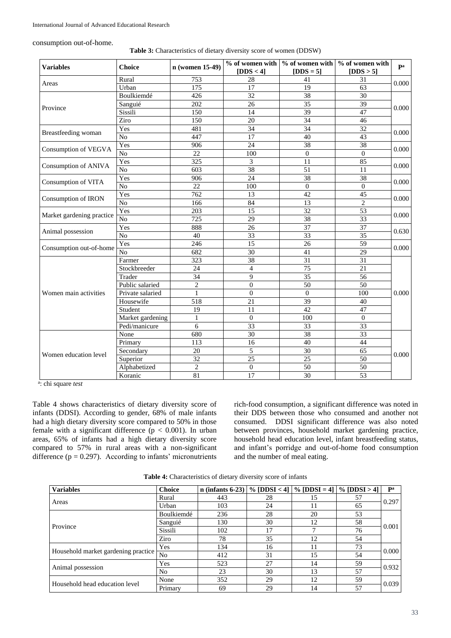consumption out-of-home.

| <b>Variables</b>            | <b>Choice</b>    | n (women 15-49)  | [ $DDS < 4$ ]    | $[DDS = 5]$                                                                                                                                                                                                                                                                                                                                                                                                                                                                                  | [DDS > 5]       | pa    |  |
|-----------------------------|------------------|------------------|------------------|----------------------------------------------------------------------------------------------------------------------------------------------------------------------------------------------------------------------------------------------------------------------------------------------------------------------------------------------------------------------------------------------------------------------------------------------------------------------------------------------|-----------------|-------|--|
|                             | Rural            | 753              | 28               | 41                                                                                                                                                                                                                                                                                                                                                                                                                                                                                           | 31              |       |  |
| Areas                       | Urban            | $\frac{175}{2}$  | 17               | $%$ of women with $\frac{1}{2}$ of women with $\frac{1}{2}$ of women with<br>19<br>38<br>$\overline{35}$<br>39<br>34<br>34<br>40<br>$\overline{38}$<br>$\boldsymbol{0}$<br>11<br>$\overline{51}$<br>38<br>$\mathbf{0}$<br>42<br>13<br>$\overline{32}$<br>$\overline{38}$<br>$\overline{37}$<br>33<br>26<br>41<br>$\overline{31}$<br>$\overline{75}$<br>35<br>$\overline{50}$<br>$\overline{0}$<br>$\overline{39}$<br>42<br>100<br>33<br>38<br>40<br>$\overline{30}$<br>25<br>$\overline{50}$ | 63              | 0.000 |  |
|                             | Boulkiemdé       | 426              | 32               |                                                                                                                                                                                                                                                                                                                                                                                                                                                                                              | 30              |       |  |
|                             | Sanguié          | 202              | 26               |                                                                                                                                                                                                                                                                                                                                                                                                                                                                                              | $\overline{39}$ |       |  |
| Province                    | Sissili          | 150              | 14               |                                                                                                                                                                                                                                                                                                                                                                                                                                                                                              | 47              | 0.000 |  |
|                             | Ziro             | 150              | 20               |                                                                                                                                                                                                                                                                                                                                                                                                                                                                                              | $\overline{46}$ |       |  |
|                             | Yes              | 481              | 34               |                                                                                                                                                                                                                                                                                                                                                                                                                                                                                              | 32              | 0.000 |  |
| Breastfeeding woman         | N <sub>o</sub>   | 447              | 17               |                                                                                                                                                                                                                                                                                                                                                                                                                                                                                              | 43              |       |  |
|                             | Yes              | 906              | 24               |                                                                                                                                                                                                                                                                                                                                                                                                                                                                                              | 38              |       |  |
| <b>Consumption of VEGVA</b> | N <sub>o</sub>   | 22               | 100              |                                                                                                                                                                                                                                                                                                                                                                                                                                                                                              | $\overline{0}$  | 0.000 |  |
|                             | Yes              | 325              | 3                |                                                                                                                                                                                                                                                                                                                                                                                                                                                                                              | 85              |       |  |
| Consumption of ANIVA        | $\overline{No}$  | 603              | 38               |                                                                                                                                                                                                                                                                                                                                                                                                                                                                                              | 11              | 0.000 |  |
| Consumption of VITA         | Yes              | 906              | 24               |                                                                                                                                                                                                                                                                                                                                                                                                                                                                                              | 38              |       |  |
|                             | $\overline{No}$  | 22               | 100              |                                                                                                                                                                                                                                                                                                                                                                                                                                                                                              | $\theta$        | 0.000 |  |
| Consumption of IRON         | Yes              | $\overline{762}$ | 13               |                                                                                                                                                                                                                                                                                                                                                                                                                                                                                              | 45              |       |  |
|                             | $\overline{No}$  | 166              | 84               |                                                                                                                                                                                                                                                                                                                                                                                                                                                                                              | $\overline{2}$  | 0.000 |  |
| Market gardening practice   | Yes              | 203              | 15               |                                                                                                                                                                                                                                                                                                                                                                                                                                                                                              | $\overline{53}$ | 0.000 |  |
|                             | $\overline{No}$  | $\overline{725}$ | 29               |                                                                                                                                                                                                                                                                                                                                                                                                                                                                                              | $\overline{33}$ |       |  |
|                             | Yes              | 888              | 26               |                                                                                                                                                                                                                                                                                                                                                                                                                                                                                              | $\overline{37}$ | 0.630 |  |
| Animal possession           | No               | 40               | 33               |                                                                                                                                                                                                                                                                                                                                                                                                                                                                                              | 35              |       |  |
| Consumption out-of-home     | Yes              | 246              | 15               |                                                                                                                                                                                                                                                                                                                                                                                                                                                                                              | 59              | 0.000 |  |
|                             | N <sub>o</sub>   | 682              | 30               |                                                                                                                                                                                                                                                                                                                                                                                                                                                                                              | 29              |       |  |
|                             | Farmer           | 323              | 38               |                                                                                                                                                                                                                                                                                                                                                                                                                                                                                              | 31              |       |  |
|                             | Stockbreeder     | $\overline{24}$  | $\overline{4}$   |                                                                                                                                                                                                                                                                                                                                                                                                                                                                                              | $\overline{21}$ |       |  |
|                             | Trader           | 34               | $\overline{9}$   |                                                                                                                                                                                                                                                                                                                                                                                                                                                                                              | 56              |       |  |
|                             | Public salaried  | $\overline{2}$   | $\overline{0}$   |                                                                                                                                                                                                                                                                                                                                                                                                                                                                                              | 50              |       |  |
| Women main activities       | Private salaried | $\mathbf{1}$     | $\boldsymbol{0}$ |                                                                                                                                                                                                                                                                                                                                                                                                                                                                                              | 100             | 0.000 |  |
|                             | Housewife        | 518              | 21               |                                                                                                                                                                                                                                                                                                                                                                                                                                                                                              | 40              |       |  |
|                             | Student          | 19               | 11               |                                                                                                                                                                                                                                                                                                                                                                                                                                                                                              | 47              |       |  |
|                             | Market gardening | $\mathbf{1}$     | $\overline{0}$   |                                                                                                                                                                                                                                                                                                                                                                                                                                                                                              | $\mathbf{0}$    |       |  |
|                             | Pedi/manicure    | 6                | $\overline{33}$  |                                                                                                                                                                                                                                                                                                                                                                                                                                                                                              | $\overline{33}$ |       |  |
|                             | None             | 680              | 30               |                                                                                                                                                                                                                                                                                                                                                                                                                                                                                              | 33              |       |  |
|                             | Primary          | 113              | 16               |                                                                                                                                                                                                                                                                                                                                                                                                                                                                                              | 44              |       |  |
| Women education level       | Secondary        | 20               | 5                |                                                                                                                                                                                                                                                                                                                                                                                                                                                                                              | 65              |       |  |
|                             | Superior         | $\overline{32}$  | 25               |                                                                                                                                                                                                                                                                                                                                                                                                                                                                                              | 50              | 0.000 |  |
|                             | Alphabetized     | $\overline{c}$   | $\boldsymbol{0}$ |                                                                                                                                                                                                                                                                                                                                                                                                                                                                                              | $\overline{50}$ |       |  |
|                             | Koranic          | $\overline{81}$  | $\overline{17}$  | $\overline{30}$                                                                                                                                                                                                                                                                                                                                                                                                                                                                              | $\overline{53}$ |       |  |

a : chi square *test*

Table 4 shows characteristics of dietary diversity score of infants (DDSI). According to gender, 68% of male infants had a high dietary diversity score compared to 50% in those female with a significant difference  $(p < 0.001)$ . In urban areas, 65% of infants had a high dietary diversity score compared to 57% in rural areas with a non-significant difference ( $p = 0.297$ ). According to infants' micronutrients

rich-food consumption, a significant difference was noted in their DDS between those who consumed and another not consumed. DDSI significant difference was also noted between provinces, household market gardening practice, household head education level, infant breastfeeding status, and infant's porridge and out-of-home food consumption and the number of meal eating.

| <b>Variables</b>                    | <b>Choice</b>  | $n$ (infants 6-23) |    | % [DDSI < 4] $\%$ [DDSI = 4] $\%$ [DDSI > 4] |    | $\mathbf{P}^{\mathbf{a}}$ |  |
|-------------------------------------|----------------|--------------------|----|----------------------------------------------|----|---------------------------|--|
|                                     | Rural          | 443                | 28 | 15                                           | 57 | 0.297                     |  |
| Areas                               | Urban          | 103                | 24 | 11                                           | 65 |                           |  |
|                                     | Boulkiemdé     | 236                | 28 | 20                                           | 53 |                           |  |
|                                     | Sanguié        | 130                | 30 | 12                                           | 58 |                           |  |
| Province                            | Sissili        | 102                | 17 |                                              | 76 | 0.001                     |  |
|                                     | Ziro           | 78                 | 35 | 12                                           | 54 |                           |  |
|                                     | Yes            | 134                | 16 | 11                                           | 73 | 0.000                     |  |
| Household market gardening practice | N <sub>0</sub> | 412                | 31 | 15                                           | 54 |                           |  |
|                                     | Yes            | 523                | 27 | 14                                           | 59 | 0.932                     |  |
| Animal possession                   | N <sub>0</sub> | 23                 | 30 | 13                                           | 57 |                           |  |
| Household head education level      | None           | 352                | 29 | 12                                           | 59 | 0.039                     |  |
|                                     | Primary        | 69                 | 29 | 14                                           | 57 |                           |  |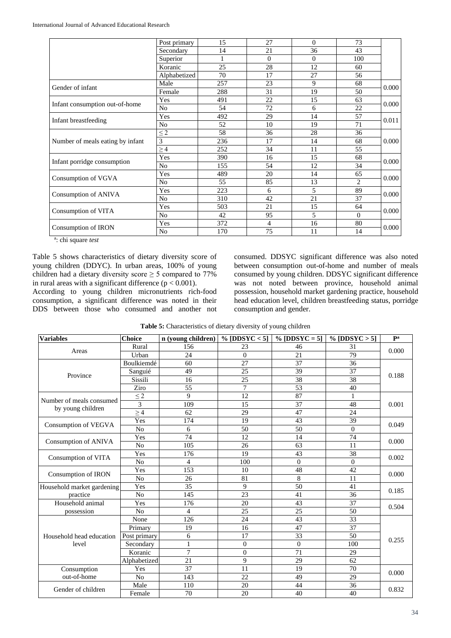| Post primary   | 15                   | 27       | $\Omega$ | 73             |       |  |
|----------------|----------------------|----------|----------|----------------|-------|--|
| Secondary      | 14                   | 21       | 36       | 43             |       |  |
| Superior       |                      | $\Omega$ | $\Omega$ | 100            |       |  |
| Koranic        | 25                   | 28       | 12       | 60             |       |  |
| Alphabetized   | 70                   | 17       | 27       | 56             |       |  |
| Male           | 257                  | 23       | 9        | 68             |       |  |
| Female         | 288                  | 31       | 19       | 50             | 0.000 |  |
| Yes            | 491                  | 22       | 15       | 63             |       |  |
| No             | 54                   | 72       | 6        | 22             | 0.000 |  |
| Yes            | 492                  | 29       | 14       | 57             |       |  |
| No             | 52                   | 10       | 19       | 71             | 0.011 |  |
|                | 58                   | 36       | 28       | 36             |       |  |
| $\overline{3}$ | 236                  | 17       | 14       | 68             | 0.000 |  |
|                | 252                  | 34       | 11       | 55             |       |  |
| Yes            | 390                  | 16       | 15       | 68             |       |  |
| No             | 155                  | 54       | 12       | 34             | 0.000 |  |
| Yes            | 489                  | 20       | 14       | 65             |       |  |
| N <sub>o</sub> | 55                   | 85       | 13       | $\overline{2}$ | 0.000 |  |
| Yes            | 223                  | 6        | 5        | 89             |       |  |
| N <sub>o</sub> | 310                  | 42       | 21       | 37             | 0.000 |  |
| Yes            | 503                  | 21       | 15       | 64             |       |  |
| N <sub>o</sub> | 42                   | 95       | 5        | $\Omega$       | 0.000 |  |
| Yes            | 372                  | 4        | 16       | 80             |       |  |
| N <sub>o</sub> | 170                  | 75       | 11       | 14             | 0.000 |  |
|                | $\leq$ 2<br>$\geq$ 4 |          |          |                |       |  |

a : chi square *test*

Table 5 shows characteristics of dietary diversity score of young children (DDYC). In urban areas, 100% of young children had a dietary diversity score  $\geq$  5 compared to 77% in rural areas with a significant difference ( $p < 0.001$ ).

According to young children micronutrients rich-food consumption, a significant difference was noted in their DDS between those who consumed and another not consumed. DDSYC significant difference was also noted between consumption out-of-home and number of meals consumed by young children. DDSYC significant difference was not noted between province, household animal possession, household market gardening practice, household head education level, children breastfeeding status, porridge consumption and gender.

| <b>Variables</b>           | <b>Choice</b>  | n (young children) | % [DDSYC $<$ 5]  | % [DDSYC = $5$ ] | % [DDSYC $>$ 5] | Pa    |  |  |
|----------------------------|----------------|--------------------|------------------|------------------|-----------------|-------|--|--|
|                            | Rural          | 156                | 23               | 46               | 31              | 0.000 |  |  |
| Areas                      | Urban          | 24                 | $\Omega$         | 21               | 79              |       |  |  |
|                            | Boulkiemdé     | 60                 | 27               | 37               | 36              |       |  |  |
| Province                   | Sanguié        | 49                 | 25               | 39               | 37              | 0.188 |  |  |
|                            | Sissili        | 16                 | 25               | $\overline{38}$  | 38              |       |  |  |
|                            | Ziro           | 55                 | $\overline{7}$   | 53               | 40              |       |  |  |
| Number of meals consumed   | $\leq 2$       | 9                  | 12               | 87               | 1               |       |  |  |
| by young children          | 3              | 109                | 15               | 37               | 48              | 0.001 |  |  |
|                            | $\geq 4$       | 62                 | 29               | 47               | 24              |       |  |  |
|                            | Yes            | 174                | 19               | 43               | 39              | 0.049 |  |  |
| Consumption of VEGVA       | N <sub>o</sub> | 6                  | 50               | 50               | $\Omega$        |       |  |  |
| Consumption of ANIVA       | Yes            | 74                 | 12               | 14               | 74              | 0.000 |  |  |
|                            | N <sub>o</sub> | 105                | 26               | 63               | 11              |       |  |  |
| Consumption of VITA        | Yes            | 176                | 19               | 43               | 38              | 0.002 |  |  |
|                            | N <sub>o</sub> | 4                  | 100              | $\Omega$         | $\Omega$        |       |  |  |
|                            | Yes            | 153                | 10               | 48               | 42              | 0.000 |  |  |
| Consumption of IRON        | N <sub>o</sub> | 26                 | 81               | 8                | 11              |       |  |  |
| Household market gardening | Yes            | 35                 | 9                | 50               | 41              | 0.185 |  |  |
| practice                   | N <sub>o</sub> | 145                | 23               | 41               | 36              |       |  |  |
| Household animal           | Yes            | 176                | 20               | 43               | 37              | 0.504 |  |  |
| possession                 | N <sub>o</sub> | 4                  | 25               | 25               | 50              |       |  |  |
|                            | None           | 126                | 24               | 43               | 33              |       |  |  |
|                            | Primary        | 19                 | 16               | 47               | $\overline{37}$ |       |  |  |
| Household head education   | Post primary   | 6                  | 17               | 33               | 50              | 0.255 |  |  |
| level                      | Secondary      |                    | $\theta$         | $\theta$         | 100             |       |  |  |
|                            | Koranic        | $\overline{7}$     | $\boldsymbol{0}$ | $\overline{71}$  | 29              |       |  |  |
|                            | Alphabetized   | 21                 | 9                | 29               | 62              |       |  |  |
| Consumption                | Yes            | 37                 | 11               | 19               | 70              | 0.000 |  |  |
| out-of-home                | N <sub>o</sub> | 143                | 22               | 49               | 29              |       |  |  |
| Gender of children         | Male           | 110                | 20               | 44               | 36              | 0.832 |  |  |
|                            | Female         | 70                 | 20               | 40               | 40              |       |  |  |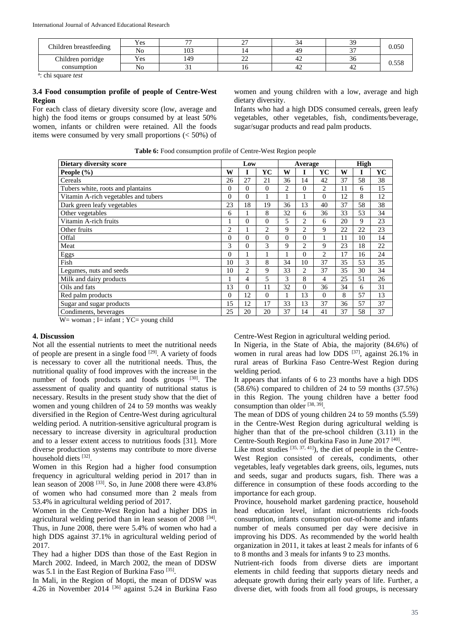International Journal of Advanced Educational Research

| Children breastfeeding | Yes | $\overline{a}$ | $\sim$<br><u>_</u> |    | 30     | 0.050 |
|------------------------|-----|----------------|--------------------|----|--------|-------|
|                        | No  | 103            |                    | 49 | $\sim$ |       |
| Children porridge      | Yes | 149            | $\sim$<br>∼        | 42 | - 20   | 0.558 |
| consumption            | No  |                |                    | 42 | 42     |       |

a : chi square *test*

# **3.4 Food consumption profile of people of Centre-West Region**

For each class of dietary diversity score (low, average and high) the food items or groups consumed by at least 50% women, infants or children were retained. All the foods items were consumed by very small proportions (< 50%) of

women and young children with a low, average and high dietary diversity.

Infants who had a high DDS consumed cereals, green leafy vegetables, other vegetables, fish, condiments/beverage, sugar/sugar products and read palm products.

| Dietary diversity score              |                | Low            |                |          | Average        |                |    | High |    |
|--------------------------------------|----------------|----------------|----------------|----------|----------------|----------------|----|------|----|
| People (%)                           | W              |                | YC             | W        |                | YC             | W  | I    | YC |
| Cereals                              | 26             | 27             | 21             | 36       | 14             | 42             | 37 | 58   | 38 |
| Tubers white, roots and plantains    | $\overline{0}$ | $\overline{0}$ | $\theta$       | 2        | $\overline{0}$ | $\overline{c}$ | 11 | 6    | 15 |
| Vitamin A-rich vegetables and tubers | $\overline{0}$ | $\overline{0}$ | 1              |          |                | 0              | 12 | 8    | 12 |
| Dark green leafy vegetables          | 23             | 18             | 19             | 36       | 13             | 40             | 37 | 58   | 38 |
| Other vegetables                     | 6              |                | 8              | 32       | 6              | 36             | 33 | 53   | 34 |
| Vitamin A-rich fruits                |                | $\overline{0}$ | $\theta$       | 5        | $\overline{c}$ | 6              | 20 | 9    | 23 |
| Other fruits                         | 2              |                | $\overline{c}$ | 9        | $\overline{c}$ | 9              | 22 | 22   | 23 |
| Offal                                | $\overline{0}$ | $\theta$       | $\theta$       | $\Omega$ | $\theta$       |                | 11 | 10   | 14 |
| Meat                                 | 3              | $\overline{0}$ | 3              | 9        | 2              | 9              | 23 | 18   | 22 |
| Eggs                                 | $\theta$       |                |                |          | $\theta$       | $\overline{c}$ | 17 | 16   | 24 |
| Fish                                 | 10             | 3              | 8              | 34       | 10             | 37             | 35 | 53   | 35 |
| Legumes, nuts and seeds              | 10             | 2              | 9              | 33       | $\overline{c}$ | 37             | 35 | 30   | 34 |
| Milk and dairy products              |                | 4              | 5              | 3        | 8              | 4              | 25 | 51   | 26 |
| Oils and fats                        | 13             | $\theta$       | 11             | 32       | $\theta$       | 36             | 34 | 6    | 31 |
| Red palm products                    | $\mathbf{0}$   | 12             | $\theta$       |          | 13             | $\theta$       | 8  | 57   | 13 |
| Sugar and sugar products             | 15             | 12             | 17             | 33       | 13             | 37             | 36 | 57   | 37 |
| Condiments, beverages                | 25             | 20             | 20             | 37       | 14             | 41             | 37 | 58   | 37 |

### **Table 6:** Food consumption profile of Centre-West Region people

 $W=$  woman ; I= infant ; YC= young child

### **4. Discussion**

Not all the essential nutrients to meet the nutritional needs of people are present in a single food  $[29]$ . A variety of foods is necessary to cover all the nutritional needs. Thus, the nutritional quality of food improves with the increase in the number of foods products and foods groups [30]. The assessment of quality and quantity of nutritional status is necessary. Results in the present study show that the diet of women and young children of 24 to 59 months was weakly diversified in the Region of Centre-West during agricultural welding period. A nutrition-sensitive agricultural program is necessary to increase diversity in agricultural production and to a lesser extent access to nutritious foods [31]. More diverse production systems may contribute to more diverse household diets [32].

Women in this Region had a higher food consumption frequency in agricultural welding period in 2017 than in lean season of 2008 [33]. So, in June 2008 there were 43.8% of women who had consumed more than 2 meals from 53.4% in agricultural welding period of 2017.

Women in the Centre-West Region had a higher DDS in agricultural welding period than in lean season of  $2008$   $^{[34]}$ . Thus, in June 2008, there were 5.4% of women who had a high DDS against 37.1% in agricultural welding period of 2017.

They had a higher DDS than those of the East Region in March 2002. Indeed, in March 2002, the mean of DDSW was 5.1 in the East Region of Burkina Faso<sup>[35]</sup>.

In Mali, in the Region of Mopti, the mean of DDSW was 4.26 in November 2014 [36] against 5.24 in Burkina Faso Centre-West Region in agricultural welding period.

In Nigeria, in the State of Abia, the majority (84.6%) of women in rural areas had low DDS <sup>[37]</sup>, against 26.1% in rural areas of Burkina Faso Centre-West Region during welding period.

It appears that infants of 6 to 23 months have a high DDS  $(58.6\%)$  compared to children of 24 to 59 months  $(37.5\%)$ in this Region. The young children have a better food consumption than older [38, 39].

The mean of DDS of young children 24 to 59 months (5.59) in the Centre-West Region during agricultural welding is higher than that of the pre-school children (3.11) in the Centre-South Region of Burkina Faso in June 2017 [40] .

Like most studies  $[35, 37, 41]$ , the diet of people in the Centre-West Region consisted of cereals, condiments, other vegetables, leafy vegetables dark greens, oils, legumes, nuts and seeds, sugar and products sugars, fish. There was a difference in consumption of these foods according to the importance for each group.

Province, household market gardening practice, household head education level, infant micronutrients rich-foods consumption, infants consumption out-of-home and infants number of meals consumed per day were decisive in improving his DDS. As recommended by the world health organization in 2011, it takes at least 2 meals for infants of 6 to 8 months and 3 meals for infants 9 to 23 months.

Nutrient-rich foods from diverse diets are important elements in child feeding that supports dietary needs and adequate growth during their early years of life. Further, a diverse diet, with foods from all food groups, is necessary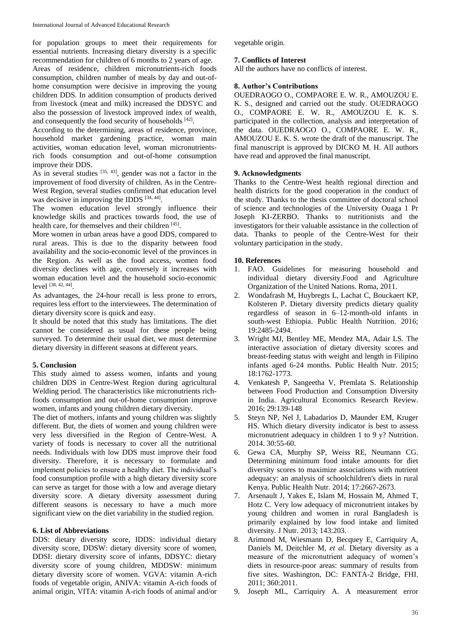for population groups to meet their requirements for essential nutrients. Increasing dietary diversity is a specific recommendation for children of 6 months to 2 years of age.

Areas of residence, children micronutrients-rich foods consumption, children number of meals by day and out-ofhome consumption were decisive in improving the young children DDS. In addition consumption of products derived from livestock (meat and milk) increased the DDSYC and also the possession of livestock improved index of wealth, and consequently the food security of households [42].

According to the determining, areas of residence, province, household market gardening practice, woman main activities, woman education level, woman micronutrientsrich foods consumption and out-of-home consumption improve their DDS.

As in several studies  $[35, 43]$ , gender was not a factor in the improvement of food diversity of children. As in the Centre-West Region, several studies confirmed that education level was decisive in improving the IDDS [34, 44].

The women education level strongly influence their knowledge skills and practices towards food, the use of health care, for themselves and their children [45].

More women in urban areas have a good DDS, compared to rural areas. This is due to the disparity between food availability and the socio-economic level of the provinces in the Region. As well as the food access, women food diversity declines with age, conversely it increases with woman education level and the household socio-economic level [38, 42, 44] .

As advantages, the 24-hour recall is less prone to errors, requires less effort to the interviewees. The determination of dietary diversity score is quick and easy.

It should be noted that this study has limitations. The diet cannot be considered as usual for these people being surveyed. To determine their usual diet, we must determine dietary diversity in different seasons at different years.

# **5. Conclusion**

This study aimed to assess women, infants and young children DDS in Centre-West Region during agricultural Welding period. The characteristics like micronutrients richfoods consumption and out-of-home consumption improve women, infants and young children dietary diversity.

The diet of mothers, infants and young children was slightly different. But, the diets of women and young children were very less diversified in the Region of Centre-West. A variety of foods is necessary to cover all the nutritional needs. Individuals with low DDS must improve their food diversity. Therefore, it is necessary to formulate and implement policies to ensure a healthy diet. The individual's food consumption profile with a high dietary diversity score can serve as target for those with a low and average dietary diversity score. A dietary diversity assessment during different seasons is necessary to have a much more significant view on the diet variability in the studied region.

### **6. List of Abbreviations**

DDS: dietary diversity score, IDDS: individual dietary diversity score, DDSW: dietary diversity score of women, DDSI: dietary diversity score of infants, DDSYC: dietary diversity score of young children, MDDSW: minimum dietary diversity score of women. VGVA: vitamin A-rich foods of vegetable origin, ANIVA: vitamin A-rich foods of animal origin, VITA: vitamin A-rich foods of animal and/or vegetable origin.

# **7. Conflicts of Interest**

All the authors have no conflicts of interest.

### **8. Author's Contributions**

OUEDRAOGO O., COMPAORE E. W. R., AMOUZOU E. K. S., designed and carried out the study. OUEDRAOGO O., COMPAORE E. W. R., AMOUZOU E. K. S. participated in the collection, analysis and interpretation of the data. OUEDRAOGO O., COMPAORE E. W. R., AMOUZOU E. K. S. wrote the draft of the manuscript. The final manuscript is approved by DICKO M. H. All authors have read and approved the final manuscript.

### **9. Acknowledgments**

Thanks to the Centre-West health regional direction and health districts for the good cooperation in the conduct of the study. Thanks to the thesis committee of doctoral school of science and technologies of the University Ouaga 1 Pr Joseph KI-ZERBO. Thanks to nutritionists and the investigators for their valuable assistance in the collection of data. Thanks to people of the Centre-West for their voluntary participation in the study.

### **10. References**

- 1. FAO. Guidelines for measuring household and individual dietary diversity.Food and Agriculture Organization of the United Nations. Roma, 2011.
- 2. Wondafrash M, Huybregts L, Lachat C, Bouckaert KP, Kolsteren P. Dietary diversity predicts dietary quality regardless of season in 6–12-month-old infants in south-west Ethiopia. Public Health Nutrition. 2016; 19:2485-2494.
- 3. Wright MJ, Bentley ME, Mendez MA, Adair LS. The interactive association of dietary diversity scores and breast-feeding status with weight and length in Filipino infants aged 6-24 months. Public Health Nutr. 2015; 18:1762-1773.
- 4. Venkatesh P, Sangeetha V, Premlata S. Relationship between Food Production and Consumption Diversity in India. Agricultural Economics Research Review. 2016; 29:139-148
- 5. Steyn NP, Nel J, Labadarios D, Maunder EM, Kruger HS. Which dietary diversity indicator is best to assess micronutrient adequacy in children 1 to 9 y? Nutrition. 2014. 30:55-60.
- 6. Gewa CA, Murphy SP, Weiss RE, Neumann CG. Determining minimum food intake amounts for diet diversity scores to maximize associations with nutrient adequacy: an analysis of schoolchildren's diets in rural Kenya. Public Health Nutr. 2014; 17:2667-2673.
- 7. Arsenault J, Yakes E, Islam M, Hossain M, Ahmed T, Hotz C. Very low adequacy of micronutrient intakes by young children and women in rural Bangladesh is primarily explained by low food intake and limited diversity. J Nutr. 2013; 143:203.
- 8. Arimond M, Wiesmann D, Becquey E, Carriquiry A, Daniels M, Deitchler M, *et al*. Dietary diversity as a measure of the micronutrient adequacy of women's diets in resource-poor areas: summary of results from five sites. Washington, DC: FANTA-2 Bridge, FHI. 2011; 360:2011.
- 9. Joseph ML, Carriquiry A. A measurement error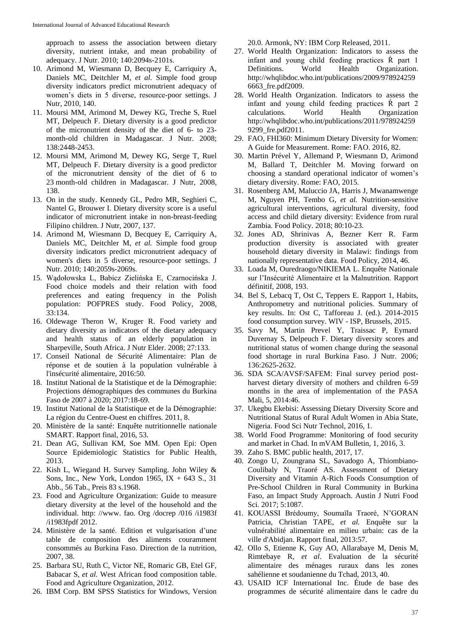approach to assess the association between dietary diversity, nutrient intake, and mean probability of adequacy. J Nutr. 2010; 140:2094s-2101s.

- 10. Arimond M, Wiesmann D, Becquey E, Carriquiry A, Daniels MC, Deitchler M, *et al.* Simple food group diversity indicators predict micronutrient adequacy of women's diets in 5 diverse, resource-poor settings. J Nutr, 2010, 140.
- 11. Moursi MM, Arimond M, Dewey KG, Treche S, Ruel MT, Delpeuch F. Dietary diversity is a good predictor of the micronutrient density of the diet of 6- to 23 month-old children in Madagascar. J Nutr. 2008; 138:2448-2453.
- 12. Moursi MM, Arimond M, Dewey KG, Serge T, Ruel MT, Delpeuch F. Dietary diversity is a good predictor of the micronutrient density of the diet of 6 to 23 month-old children in Madagascar. J Nutr, 2008, 138.
- 13. On in the study. Kennedy GL, Pedro MR, Seghieri C, Nantel G, Brouwer I. Dietary diversity score is a useful indicator of micronutrient intake in non-breast-feeding Filipino children. J Nutr, 2007, 137.
- 14. Arimond M, Wiesmann D, Becquey E, Carriquiry A, Daniels MC, Deitchler M, *et al.* Simple food group diversity indicators predict micronutrient adequacy of women's diets in 5 diverse, resource-poor settings. J Nutr. 2010; 140:2059s-2069s.
- 15. Wądołowska L, Babicz Zielińska E, Czarnocińska J. Food choice models and their relation with food preferences and eating frequency in the Polish population: POFPRES study. Food Policy, 2008, 33:134.
- 16. Oldewage Theron W, Kruger R. Food variety and dietary diversity as indicators of the dietary adequacy and health status of an elderly population in Sharpeville, South Africa. J Nutr Elder. 2008; 27:133.
- 17. Conseil National de Sécurité Alimentaire: Plan de réponse et de soutien à la population vulnérable à l'insécurité alimentaire, 2016:50.
- 18. Institut National de la Statistique et de la Démographie: Projections démographiques des communes du Burkina Faso de 2007 à 2020; 2017:18-69.
- 19. Institut National de la Statistique et de la Démographie: La région du Centre-Ouest en chiffres. 2011, 8.
- 20. Ministère de la santé: Enquête nutritionnelle nationale SMART. Rapport final, 2016, 53.
- 21. Dean AG, Sullivan KM, Soe MM. Open Epi: Open Source Epidemiologic Statistics for Public Health, 2013.
- 22. Kish L, Wiegand H. Survey Sampling. John Wiley & Sons, Inc., New York, London 1965, IX  $+$  643 S., 31 Abb., 56 Tab., Preis 83 s.1968.
- 23. Food and Agriculture Organization: Guide to measure dietary diversity at the level of the household and the individual. http: //www. fao. Org /docrep /016 /i1983f /i1983fpdf 2012.
- 24. Ministère de la santé. Edition et vulgarisation d'une table de composition des aliments couramment consommés au Burkina Faso. Direction de la nutrition, 2007, 38.
- 25. Barbara SU, Ruth C, Victor NE, Romaric GB, Etel GF, Babacar S, *et al.* West African food composition table. Food and Agriculture Organization, 2012.
- 26. IBM Corp. BM SPSS Statistics for Windows, Version

20.0. Armonk, NY: IBM Corp Released, 2011.

- 27. World Health Organization: Indicators to assess the infant and young child feeding practices Ŕ part 1 Definitions. World Health Organization. http://whqlibdoc.who.int/publications/2009/978924259 6663\_fre.pdf2009.
- 28. World Health Organization. Indicators to assess the infant and young child feeding practices Ŕ part 2 calculations. World Health Organization http://whqlibdoc.who.int/publications/2011/978924259 9299\_fre.pdf2011.
- 29. FAO, FHI360: Minimum Dietary Diversity for Women: A Guide for Measurement. Rome: FAO. 2016, 82.
- 30. Martin Prével Y, Allemand P, Wiesmann D, Arimond M, Ballard T, Deitchler M. Moving forward on choosing a standard operational indicator of women's dietary diversity. Rome: FAO, 2015.
- 31. Rosenberg AM, Maluccio JA, Harris J, Mwanamwenge M, Nguyen PH, Tembo G, *et al.* Nutrition-sensitive agricultural interventions, agricultural diversity, food access and child dietary diversity: Evidence from rural Zambia. Food Policy. 2018; 80:10-23.
- 32. Jones AD, Shrinivas A, Bezner Kerr R. Farm production diversity is associated with greater household dietary diversity in Malawi: findings from nationally representative data. Food Policy, 2014, 46.
- 33. Loada M, Ouredraogo/NIKIEMA L. Enquête Nationale sur l'Insécurité Alimentaire et la Malnutrition. Rapport définitif, 2008, 193.
- 34. Bel S, Lebacq T, Ost C, Teppers E. Rapport 1, Habits, Anthropometry and nutritional policies. Summary of key results. In: Ost C, Tafforeau J. (ed.). 2014-2015 food consumption survey. WIV - ISP, Brussels, 2015.
- 35. Savy M, Martin Prevel Y, Traissac P, Eymard Duvernay S, Delpeuch F. Dietary diversity scores and nutritional status of women change during the seasonal food shortage in rural Burkina Faso. J Nutr. 2006; 136:2625-2632.
- 36. SDA SCA/AVSF/SAFEM: Final survey period postharvest dietary diversity of mothers and children 6-59 months in the area of implementation of the PASA Mali, 5, 2014:46.
- 37. Ukegbu Ekebisi: Assessing Dietary Diversity Score and Nutritional Status of Rural Adult Women in Abia State, Nigeria. Food Sci Nutr Technol, 2016, 1.
- 38. World Food Programme: Monitoring of food security and market in Chad. In mVAM Bulletin, 1, 2016, 3.
- 39. Zaho S. BMC public health, 2017, 17.
- 40. Zongo U, Zoungrana SL, Savadogo A, Thiombiano-Coulibaly N, Traoré AS. Assessment of Dietary Diversity and Vitamin A-Rich Foods Consumption of Pre-School Children in Rural Community in Burkina Faso, an Impact Study Approach. Austin J Nutri Food Sci. 2017; 5:1087.
- 41. KOUASSI Brédoumy, Soumaïla Traoré, N'GORAN Patricia, Christian TAPE, *et al.* Enquête sur la vulnérabilité alimentaire en milieu urbain: cas de la ville d'Abidjan. Rapport final, 2013:57.
- 42. Ollo S, Etienne K, Guy AO, Allarabaye M, Denis M, Rimtebaye R, *et al*. Evaluation de la sécurité alimentaire des ménages ruraux dans les zones sahélienne et soudanienne du Tchad, 2013, 40.
- 43. USAID ICF International Inc. Étude de base des programmes de sécurité alimentaire dans le cadre du